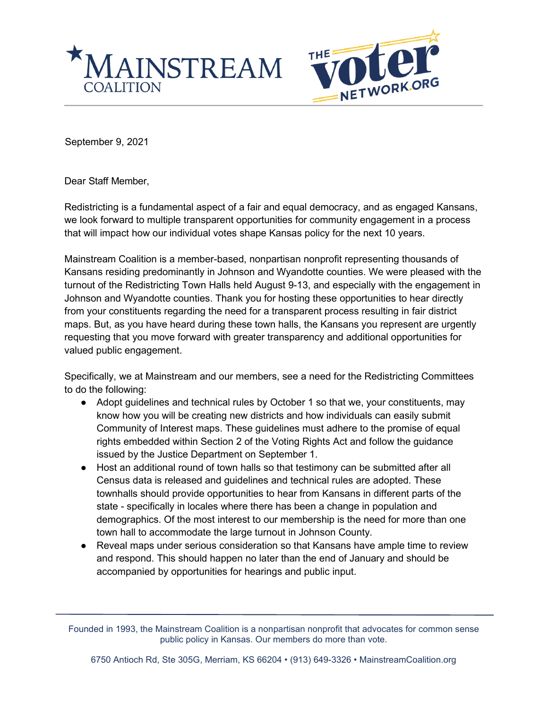



September 9, 2021

Dear Staff Member,

Redistricting is a fundamental aspect of a fair and equal democracy, and as engaged Kansans, we look forward to multiple transparent opportunities for community engagement in a process that will impact how our individual votes shape Kansas policy for the next 10 years.

Mainstream Coalition is a member-based, nonpartisan nonprofit representing thousands of Kansans residing predominantly in Johnson and Wyandotte counties. We were pleased with the turnout of the Redistricting Town Halls held August 9-13, and especially with the engagement in Johnson and Wyandotte counties. Thank you for hosting these opportunities to hear directly from your constituents regarding the need for a transparent process resulting in fair district maps. But, as you have heard during these town halls, the Kansans you represent are urgently requesting that you move forward with greater transparency and additional opportunities for valued public engagement.

Specifically, we at Mainstream and our members, see a need for the Redistricting Committees to do the following:

- Adopt guidelines and technical rules by October 1 so that we, your constituents, may know how you will be creating new districts and how individuals can easily submit Community of Interest maps. These guidelines must adhere to the promise of equal rights embedded within Section 2 of the Voting Rights Act and follow the guidance issued by the Justice Department on September 1.
- Host an additional round of town halls so that testimony can be submitted after all Census data is released and guidelines and technical rules are adopted. These townhalls should provide opportunities to hear from Kansans in different parts of the state - specifically in locales where there has been a change in population and demographics. Of the most interest to our membership is the need for more than one town hall to accommodate the large turnout in Johnson County.
- Reveal maps under serious consideration so that Kansans have ample time to review and respond. This should happen no later than the end of January and should be accompanied by opportunities for hearings and public input.

Founded in 1993, the Mainstream Coalition is a nonpartisan nonprofit that advocates for common sense public policy in Kansas. Our members do more than vote.